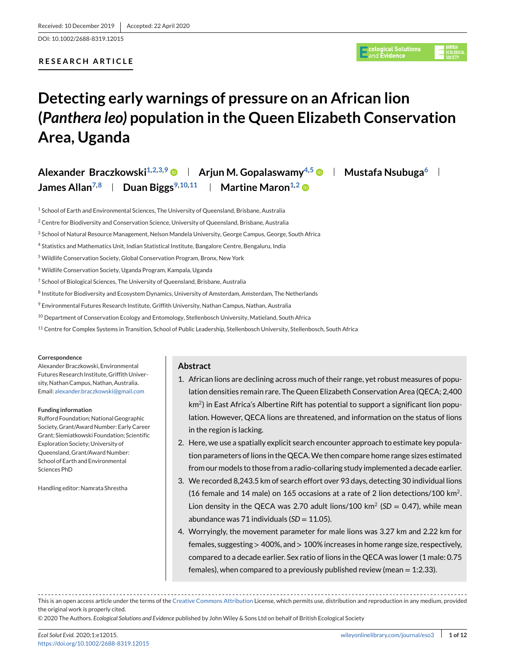DOI: 10.1002/2688-8319.12015

# **RESEARCH ARTICLE**



# **Detecting early warnings of pressure on an African lion (***Panthera leo)* **population in the Queen Elizabeth Conservation Area, Uganda**

| Alexander Braczkowski <sup>1,2,3,9</sup> $\bullet$   Arjun M. Gopalaswamy <sup>4,5</sup> $\bullet$   Mustafa Nsubuga <sup>6</sup> |                                                   |  |
|-----------------------------------------------------------------------------------------------------------------------------------|---------------------------------------------------|--|
| James Allan <sup>7,8</sup>   Duan Biggs <sup>9,10,11</sup>                                                                        | $\parallel$ Martine Maron $^{1,2}$ $\blacksquare$ |  |

<sup>1</sup> School of Earth and Environmental Sciences, The University of Queensland, Brisbane, Australia

<sup>2</sup> Centre for Biodiversity and Conservation Science, University of Queensland, Brisbane, Australia

- <sup>3</sup> School of Natural Resource Management, Nelson Mandela University, George Campus, George, South Africa
- <sup>4</sup> Statistics and Mathematics Unit, Indian Statistical Institute, Bangalore Centre, Bengaluru, India
- <sup>5</sup> Wildlife Conservation Society, Global Conservation Program, Bronx, New York
- <sup>6</sup> Wildlife Conservation Society, Uganda Program, Kampala, Uganda
- <sup>7</sup> School of Biological Sciences, The University of Queensland, Brisbane, Australia
- <sup>8</sup> Institute for Biodiversity and Ecosystem Dynamics, University of Amsterdam, Amsterdam, The Netherlands
- <sup>9</sup> Environmental Futures Research Institute, Griffith University, Nathan Campus, Nathan, Australia
- <sup>10</sup> Department of Conservation Ecology and Entomology, Stellenbosch University, Matieland, South Africa
- <sup>11</sup> Centre for Complex Systems in Transition, School of Public Leadership, Stellenbosch University, Stellenbosch, South Africa

#### **Correspondence**

Alexander Braczkowski, Environmental Futures Research Institute, Griffith University, Nathan Campus, Nathan, Australia. Email: [alexander.braczkowski@gmail.com](mailto:alexander.braczkowski@gmail.com)

#### **Funding information**

Rufford Foundation; National Geographic Society, Grant/Award Number: Early Career Grant; Siemiatkowski Foundation; Scientific Exploration Society; University of Queensland, Grant/Award Number: School of Earth and Environmental Sciences PhD

Handling editor: Namrata Shrestha

#### **Abstract**

- 1. African lions are declining across much of their range, yet robust measures of population densities remain rare. The Queen Elizabeth Conservation Area (QECA; 2,400  $km<sup>2</sup>$ ) in East Africa's Albertine Rift has potential to support a significant lion population. However, QECA lions are threatened, and information on the status of lions in the region is lacking.
- 2. Here, we use a spatially explicit search encounter approach to estimate key population parameters of lions in the QECA.We then compare home range sizes estimated from our models to those from a radio-collaring study implemented a decade earlier.
- 3. We recorded 8,243.5 km of search effort over 93 days, detecting 30 individual lions (16 female and 14 male) on 165 occasions at a rate of 2 lion detections/100 km<sup>2</sup>. Lion density in the QECA was 2.70 adult lions/100 km<sup>2</sup> (SD = 0.47), while mean abundance was 71 individuals  $(SD = 11.05)$ .
- 4. Worryingly, the movement parameter for male lions was 3.27 km and 2.22 km for females, suggesting > 400%, and > 100% increases in home range size, respectively, compared to a decade earlier. Sex ratio of lions in the QECA was lower (1 male: 0.75 females), when compared to a previously published review (mean  $= 1:2.33$ ).

This is an open access article under the terms of the [Creative Commons Attribution](http://creativecommons.org/licenses/by/4.0/) License, which permits use, distribution and reproduction in any medium, provided the original work is properly cited.

© 2020 The Authors. *Ecological Solutions and Evidence* published by John Wiley & Sons Ltd on behalf of British Ecological Society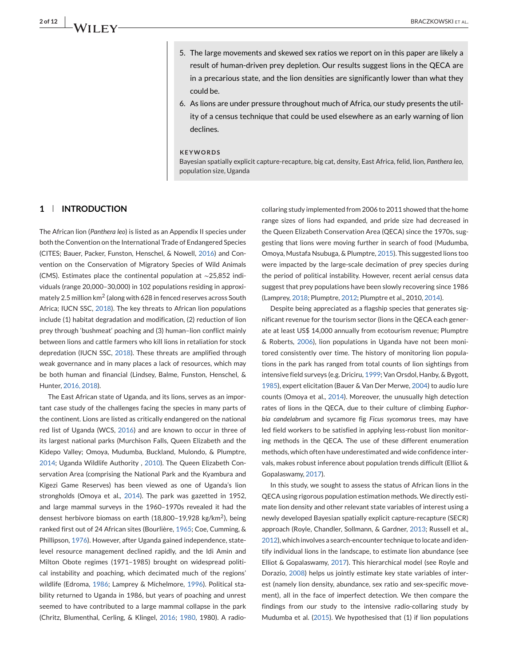- 5. The large movements and skewed sex ratios we report on in this paper are likely a result of human-driven prey depletion. Our results suggest lions in the QECA are in a precarious state, and the lion densities are significantly lower than what they could be.
- 6. As lions are under pressure throughout much of Africa, our study presents the utility of a census technique that could be used elsewhere as an early warning of lion declines.

#### **KEYWORDS**

Bayesian spatially explicit capture-recapture, big cat, density, East Africa, felid, lion, *Panthera leo*, population size, Uganda

# **1 INTRODUCTION**

The African lion (*Panthera leo*) is listed as an Appendix II species under both the Convention on the International Trade of Endangered Species (CITES; Bauer, Packer, Funston, Henschel, & Nowell, 2016) and Convention on the Conservation of Migratory Species of Wild Animals (CMS). Estimates place the continental population at ∼25,852 individuals (range 20,000–30,000) in 102 populations residing in approximately 2.5 million km<sup>2</sup> (along with 628 in fenced reserves across South Africa; IUCN SSC, 2018). The key threats to African lion populations include (1) habitat degradation and modification, (2) reduction of lion prey through 'bushmeat' poaching and (3) human–lion conflict mainly between lions and cattle farmers who kill lions in retaliation for stock depredation (IUCN SSC, 2018). These threats are amplified through weak governance and in many places a lack of resources, which may be both human and financial (Lindsey, Balme, Funston, Henschel, & Hunter, 2016, 2018).

The East African state of Uganda, and its lions, serves as an important case study of the challenges facing the species in many parts of the continent. Lions are listed as critically endangered on the national red list of Uganda (WCS, 2016) and are known to occur in three of its largest national parks (Murchison Falls, Queen Elizabeth and the Kidepo Valley; Omoya, Mudumba, Buckland, Mulondo, & Plumptre, 2014; Uganda Wildlife Authority , 2010). The Queen Elizabeth Conservation Area (comprising the National Park and the Kyambura and Kigezi Game Reserves) has been viewed as one of Uganda's lion strongholds (Omoya et al., 2014). The park was gazetted in 1952, and large mammal surveys in the 1960–1970s revealed it had the densest herbivore biomass on earth (18,800–19,928 kg/km2), being ranked first out of 24 African sites (Bourlière, 1965; Coe, Cumming, & Phillipson, 1976). However, after Uganda gained independence, statelevel resource management declined rapidly, and the Idi Amin and Milton Obote regimes (1971–1985) brought on widespread political instability and poaching, which decimated much of the regions' wildlife (Edroma, 1986; Lamprey & Michelmore, 1996). Political stability returned to Uganda in 1986, but years of poaching and unrest seemed to have contributed to a large mammal collapse in the park (Chritz, Blumenthal, Cerling, & Klingel, 2016; 1980, 1980). A radio-

collaring study implemented from 2006 to 2011 showed that the home range sizes of lions had expanded, and pride size had decreased in the Queen Elizabeth Conservation Area (QECA) since the 1970s, suggesting that lions were moving further in search of food (Mudumba, Omoya, Mustafa Nsubuga, & Plumptre, 2015). This suggested lions too were impacted by the large-scale decimation of prey species during the period of political instability. However, recent aerial census data suggest that prey populations have been slowly recovering since 1986 (Lamprey, 2018; Plumptre, 2012; Plumptre et al., 2010, 2014).

Despite being appreciated as a flagship species that generates significant revenue for the tourism sector (lions in the QECA each generate at least US\$ 14,000 annually from ecotourism revenue; Plumptre & Roberts, 2006), lion populations in Uganda have not been monitored consistently over time. The history of monitoring lion populations in the park has ranged from total counts of lion sightings from intensive field surveys (e.g. Driciru, 1999; Van Orsdol, Hanby, & Bygott, 1985), expert elicitation (Bauer & Van Der Merwe, 2004) to audio lure counts (Omoya et al., 2014). Moreover, the unusually high detection rates of lions in the QECA, due to their culture of climbing *Euphorbia candelabrum* and sycamore fig *Ficus sycomorus* trees, may have led field workers to be satisfied in applying less-robust lion monitoring methods in the QECA. The use of these different enumeration methods, which often have underestimated and wide confidence intervals, makes robust inference about population trends difficult (Elliot & Gopalaswamy, 2017).

In this study, we sought to assess the status of African lions in the QECA using rigorous population estimation methods. We directly estimate lion density and other relevant state variables of interest using a newly developed Bayesian spatially explicit capture-recapture (SECR) approach (Royle, Chandler, Sollmann, & Gardner, 2013; Russell et al., 2012), which involves a search-encounter technique to locate and identify individual lions in the landscape, to estimate lion abundance (see Elliot & Gopalaswamy, 2017). This hierarchical model (see Royle and Dorazio, 2008) helps us jointly estimate key state variables of interest (namely lion density, abundance, sex ratio and sex-specific movement), all in the face of imperfect detection. We then compare the findings from our study to the intensive radio-collaring study by Mudumba et al. (2015). We hypothesised that (1) if lion populations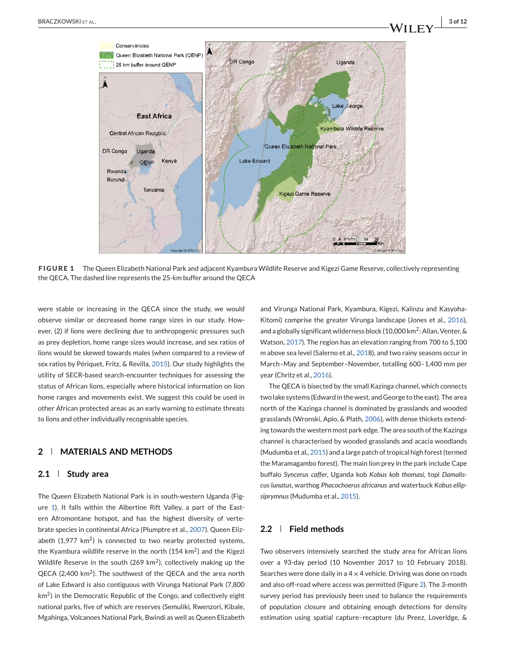

**FIGURE 1** The Queen Elizabeth National Park and adjacent Kyambura Wildlife Reserve and Kigezi Game Reserve, collectively representing the QECA. The dashed line represents the 25-km buffer around the QECA

were stable or increasing in the QECA since the study, we would observe similar or decreased home range sizes in our study. However, (2) if lions were declining due to anthropogenic pressures such as prey depletion, home range sizes would increase, and sex ratios of lions would be skewed towards males (when compared to a review of sex ratios by Périquet, Fritz, & Revilla, 2015). Our study highlights the utility of SECR-based search-encounter techniques for assessing the status of African lions, especially where historical information on lion home ranges and movements exist. We suggest this could be used in other African protected areas as an early warning to estimate threats to lions and other individually recognisable species.

### **2 MATERIALS AND METHODS**

#### **2.1 Study area**

The Queen Elizabeth National Park is in south-western Uganda (Figure 1). It falls within the Albertine Rift Valley, a part of the Eastern Afromontane hotspot, and has the highest diversity of vertebrate species in continental Africa (Plumptre et al., 2007). Queen Elizabeth  $(1,977 \text{ km}^2)$  is connected to two nearby protected systems, the Kyambura wildlife reserve in the north  $(154 \text{ km}^2)$  and the Kigezi Wildlife Reserve in the south (269  $km^2$ ), collectively making up the QECA (2,400 km<sup>2</sup>). The southwest of the QECA and the area north of Lake Edward is also contiguous with Virunga National Park (7,800 km<sup>2</sup>) in the Democratic Republic of the Congo, and collectively eight national parks, five of which are reserves (Semuliki, Rwenzori, Kibale, Mgahinga, Volcanoes National Park, Bwindi as well as Queen Elizabeth and Virunga National Park, Kyambura, Kigezi, Kalinzu and Kasyoha-Kitomi) comprise the greater Virunga landscape (Jones et al., 2016), and a globally significant wilderness block (10,000 km2; Allan, Venter, & Watson, 2017). The region has an elevation ranging from 700 to 5,100 m above sea level (Salerno et al., 2018), and two rainy seasons occur in March–May and September–November, totalling 600–1,400 mm per year (Chritz et al., 2016).

The QECA is bisected by the small Kazinga channel, which connects two lake systems (Edward in the west, and George to the east). The area north of the Kazinga channel is dominated by grasslands and wooded grasslands (Wronski, Apio, & Plath, 2006), with dense thickets extending towards the western most park edge. The area south of the Kazinga channel is characterised by wooded grasslands and acacia woodlands (Mudumba et al., 2015) and a large patch of tropical high forest (termed the Maramagambo forest). The main lion prey in the park include Cape buffalo *Syncerus caffer*, Uganda kob *Kobus kob thomasi*, topi *Damaliscus lunatus*, warthog *Phacochoerus africanus* and waterbuck *Kobus ellipsiprymnus*(Mudumba et al., 2015).

# **2.2 Field methods**

Two observers intensively searched the study area for African lions over a 93-day period (10 November 2017 to 10 February 2018). Searches were done daily in a  $4 \times 4$  vehicle. Driving was done on roads and also off-road where access was permitted (Figure [2\)](#page-3-0). The 3-month survey period has previously been used to balance the requirements of population closure and obtaining enough detections for density estimation using spatial capture–recapture (du Preez, Loveridge, &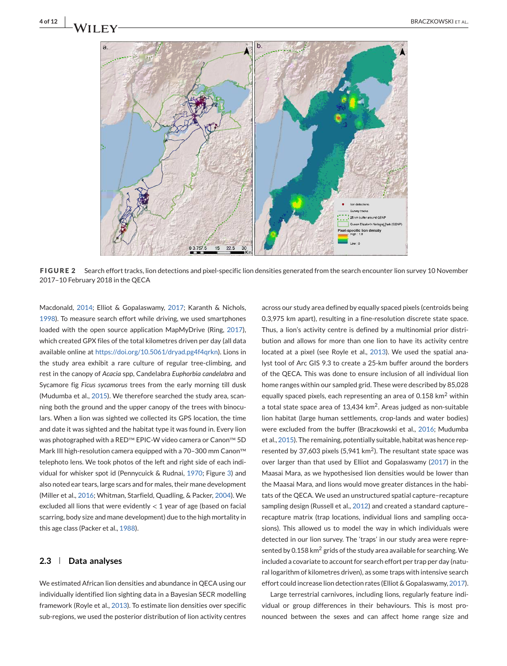<span id="page-3-0"></span>

**FIGURE 2** Search effort tracks, lion detections and pixel-specific lion densities generated from the search encounter lion survey 10 November 2017–10 February 2018 in the QECA

Macdonald, 2014; Elliot & Gopalaswamy, 2017; Karanth & Nichols, 1998). To measure search effort while driving, we used smartphones loaded with the open source application MapMyDrive (Ring, 2017), which created GPX files of the total kilometres driven per day (all data available online at [https://doi.org/10.5061/dryad.pg4f4qrkn\)](https://doi.org/10.5061/dryad.pg4f4qrkn). Lions in the study area exhibit a rare culture of regular tree-climbing, and rest in the canopy of *Acacia* spp, Candelabra *Euphorbia candelabra* and Sycamore fig *Ficus sycamorus* trees from the early morning till dusk (Mudumba et al., 2015). We therefore searched the study area, scanning both the ground and the upper canopy of the trees with binoculars. When a lion was sighted we collected its GPS location, the time and date it was sighted and the habitat type it was found in. Every lion was photographed with a RED™ EPIC-W video camera or Canon™ 5D Mark III high-resolution camera equipped with a 70–300 mm Canon™ telephoto lens. We took photos of the left and right side of each individual for whisker spot id (Pennycuick & Rudnai, 1970; Figure [3\)](#page-4-0) and also noted ear tears, large scars and for males, their mane development (Miller et al., 2016; Whitman, Starfield, Quadling, & Packer, 2004). We excluded all lions that were evidently  $<$  1 year of age (based on facial scarring, body size and mane development) due to the high mortality in this age class (Packer et al., 1988).

#### **2.3 Data analyses**

We estimated African lion densities and abundance in QECA using our individually identified lion sighting data in a Bayesian SECR modelling framework (Royle et al., 2013). To estimate lion densities over specific sub-regions, we used the posterior distribution of lion activity centres

across our study area defined by equally spaced pixels (centroids being 0.3,975 km apart), resulting in a fine-resolution discrete state space. Thus, a lion's activity centre is defined by a multinomial prior distribution and allows for more than one lion to have its activity centre located at a pixel (see Royle et al., 2013). We used the spatial analyst tool of Arc GIS 9.3 to create a 25-km buffer around the borders of the QECA. This was done to ensure inclusion of all individual lion home ranges within our sampled grid. These were described by 85,028 equally spaced pixels, each representing an area of 0.158  $km<sup>2</sup>$  within a total state space area of 13,434 km<sup>2</sup>. Areas judged as non-suitable lion habitat (large human settlements, crop-lands and water bodies) were excluded from the buffer (Braczkowski et al., 2016; Mudumba et al., 2015). The remaining, potentially suitable, habitat was hence represented by 37,603 pixels (5,941 km<sup>2</sup>). The resultant state space was over larger than that used by Elliot and Gopalaswamy (2017) in the Maasai Mara, as we hypothesised lion densities would be lower than the Maasai Mara, and lions would move greater distances in the habitats of the QECA. We used an unstructured spatial capture–recapture sampling design (Russell et al., 2012) and created a standard capturerecapture matrix (trap locations, individual lions and sampling occasions). This allowed us to model the way in which individuals were detected in our lion survey. The 'traps' in our study area were represented by 0.158 km<sup>2</sup> grids of the study area available for searching. We included a covariate to account for search effort per trap per day (natural logarithm of kilometres driven), as some traps with intensive search effort could increase lion detection rates (Elliot & Gopalaswamy, 2017).

Large terrestrial carnivores, including lions, regularly feature individual or group differences in their behaviours. This is most pronounced between the sexes and can affect home range size and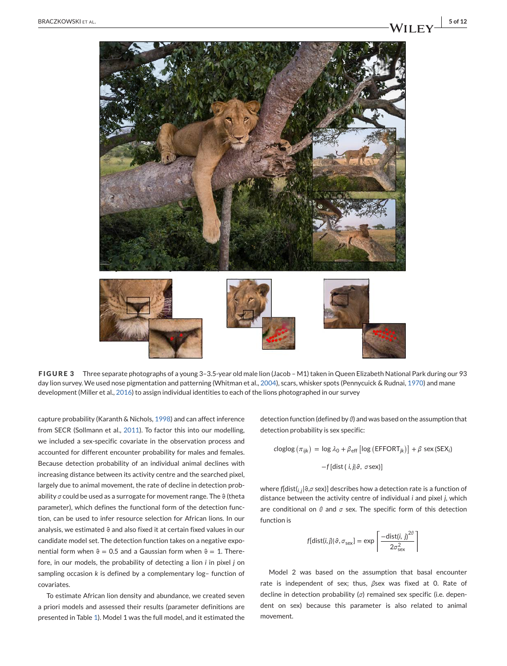<span id="page-4-0"></span>

**FIGURE 3** Three separate photographs of a young 3–3.5-year old male lion (Jacob – M1) taken in Queen Elizabeth National Park during our 93 day lion survey. We used nose pigmentation and patterning (Whitman et al., 2004), scars, whisker spots (Pennycuick & Rudnai, 1970) and mane development (Miller et al., 2016) to assign individual identities to each of the lions photographed in our survey

capture probability (Karanth & Nichols, 1998) and can affect inference from SECR (Sollmann et al., 2011). To factor this into our modelling, we included a sex-specific covariate in the observation process and accounted for different encounter probability for males and females. Because detection probability of an individual animal declines with increasing distance between its activity centre and the searched pixel, largely due to animal movement, the rate of decline in detection probability *σ* could be used as a surrogate for movement range. The ϑ (theta parameter), which defines the functional form of the detection function, can be used to infer resource selection for African lions. In our analysis, we estimated  $\vartheta$  and also fixed it at certain fixed values in our candidate model set. The detection function takes on a negative exponential form when  $\theta = 0.5$  and a Gaussian form when  $\theta = 1$ . Therefore, in our models, the probability of detecting a lion *i* in pixel *j* on sampling occasion *k* is defined by a complementary log– function of covariates.

To estimate African lion density and abundance, we created seven a priori models and assessed their results (parameter definitions are presented in Table [1\)](#page-5-0). Model 1 was the full model, and it estimated the

detection function (defined by *θ*) and was based on the assumption that detection probability is sex specific:

$$
c\log\log\left(\pi_{ijk}\right) = \log\lambda_0 + \beta_{eff} \left[\log\left(\text{EFFORT}_{jk}\right)\right] + \beta \text{ sex (SEX}_i)
$$

$$
-f\left[\text{dist}\left(i,j\right|\vartheta,\ \sigma\text{sex}\right)]
$$

where *f*[dist(*i*,*j*|ϑ,*σ* sex)] describes how a detection rate is a function of distance between the activity centre of individual *i* and pixel *j*, which are conditional on *θ* and *σ* sex. The specific form of this detection function is

$$
f[\text{dist}(i, j)|\vartheta, \sigma_{\text{sex}}] = \exp\left[\frac{-\text{dist}(i, j)^{2\theta}}{2\sigma_{\text{sex}}^2}\right]
$$

Model 2 was based on the assumption that basal encounter rate is independent of sex; thus, *β*sex was fixed at 0. Rate of decline in detection probability (*σ*) remained sex specific (i.e. dependent on sex) because this parameter is also related to animal movement.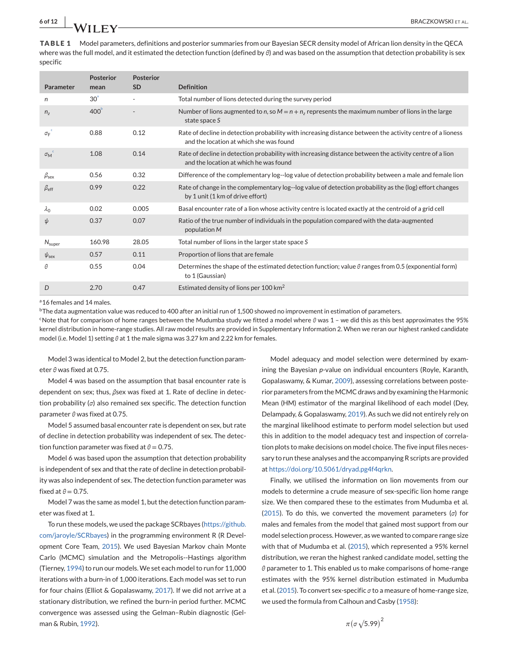<span id="page-5-0"></span>**TABLE 1** Model parameters, definitions and posterior summaries from our Bayesian SECR density model of African lion density in the QECA where was the full model, and it estimated the detection function (defined by θ) and was based on the assumption that detection probability is sex specific

| Parameter                             | <b>Posterior</b><br>mean | <b>Posterior</b><br><b>SD</b> | <b>Definition</b>                                                                                                                                     |
|---------------------------------------|--------------------------|-------------------------------|-------------------------------------------------------------------------------------------------------------------------------------------------------|
| n                                     | 30 <sup>3</sup>          |                               | Total number of lions detected during the survey period                                                                                               |
| $n_{7}$                               | 400 <sup>b</sup>         |                               | Number of lions augmented to n, so $M = n + nz$ represents the maximum number of lions in the large<br>state space S                                  |
| ${\sigma_{\rm F}}^{\rm c}$            | 0.88                     | 0.12                          | Rate of decline in detection probability with increasing distance between the activity centre of a lioness<br>and the location at which she was found |
| $\mathbf{C}$<br>$\sigma_{\mathsf{M}}$ | 1.08                     | 0.14                          | Rate of decline in detection probability with increasing distance between the activity centre of a lion<br>and the location at which he was found     |
| $\beta_{\text{sex}}$                  | 0.56                     | 0.32                          | Difference of the complementary log--log value of detection probability between a male and female lion                                                |
| $\beta_{\text{eff}}$                  | 0.99                     | 0.22                          | Rate of change in the complementary log-log value of detection probability as the (log) effort changes<br>by 1 unit (1 km of drive effort)            |
| $\lambda_0$                           | 0.02                     | 0.005                         | Basal encounter rate of a lion whose activity centre is located exactly at the centroid of a grid cell                                                |
| ψ                                     | 0.37                     | 0.07                          | Ratio of the true number of individuals in the population compared with the data-augmented<br>population M                                            |
| $N_{\text{super}}$                    | 160.98                   | 28.05                         | Total number of lions in the larger state space S                                                                                                     |
| $\psi_{\rm sex}$                      | 0.57                     | 0.11                          | Proportion of lions that are female                                                                                                                   |
| θ                                     | 0.55                     | 0.04                          | Determines the shape of the estimated detection function; value $\theta$ ranges from 0.5 (exponential form)<br>to 1 (Gaussian)                        |
| D                                     | 2.70                     | 0.47                          | Estimated density of lions per 100 $km2$                                                                                                              |

<sup>a</sup> 16 females and 14 males.

 $b$ The data augmentation value was reduced to 400 after an initial run of 1,500 showed no improvement in estimation of parameters.

cNote that for comparison of home ranges between the Mudumba study we fitted a model where *θ* was 1 – we did this as this best approximates the 95% kernel distribution in home-range studies. All raw model results are provided in Supplementary Information 2. When we reran our highest ranked candidate model (i.e. Model 1) setting *θ* at 1 the male sigma was 3.27 km and 2.22 km for females.

Model 3 was identical to Model 2, but the detection function parameter *θ* was fixed at 0.75.

Model 4 was based on the assumption that basal encounter rate is dependent on sex; thus, *β*sex was fixed at 1. Rate of decline in detection probability (*σ*) also remained sex specific. The detection function parameter *θ* was fixed at 0.75.

Model 5 assumed basal encounter rate is dependent on sex, but rate of decline in detection probability was independent of sex. The detection function parameter was fixed at  $θ = 0.75$ .

Model 6 was based upon the assumption that detection probability is independent of sex and that the rate of decline in detection probability was also independent of sex. The detection function parameter was fixed at  $\theta$  = 0.75.

Model 7 was the same as model 1, but the detection function parameter was fixed at 1.

To run these models, we used the package SCRbayes [\(https://github.](https://github.com/jaroyle/SCRbayes) [com/jaroyle/SCRbayes\)](https://github.com/jaroyle/SCRbayes) in the programming environment R (R Development Core Team, 2015). We used Bayesian Markov chain Monte Carlo (MCMC) simulation and the Metropolis--Hastings algorithm (Tierney, 1994) to run our models. We set each model to run for 11,000 iterations with a burn-in of 1,000 iterations. Each model was set to run for four chains (Elliot & Gopalaswamy, 2017). If we did not arrive at a stationary distribution, we refined the burn-in period further. MCMC convergence was assessed using the Gelman–Rubin diagnostic (Gelman & Rubin, 1992).

Model adequacy and model selection were determined by examining the Bayesian *p*-value on individual encounters (Royle, Karanth, Gopalaswamy, & Kumar, 2009), assessing correlations between posterior parameters from the MCMC draws and by examining the Harmonic Mean (HM) estimator of the marginal likelihood of each model (Dey, Delampady, & Gopalaswamy, 2019). As such we did not entirely rely on the marginal likelihood estimate to perform model selection but used this in addition to the model adequacy test and inspection of correlation plots to make decisions on model choice. The five input files necessary to run these analyses and the accompanying R scripts are provided at [https://doi.org/10.5061/dryad.pg4f4qrkn.](https://doi.org/10.5061/dryad.pg4f4qrkn)

Finally, we utilised the information on lion movements from our models to determine a crude measure of sex-specific lion home range size. We then compared these to the estimates from Mudumba et al. (2015). To do this, we converted the movement parameters (*σ*) for males and females from the model that gained most support from our model selection process. However, as we wanted to compare range size with that of Mudumba et al. (2015), which represented a 95% kernel distribution, we reran the highest ranked candidate model, setting the *θ* parameter to 1. This enabled us to make comparisons of home-range estimates with the 95% kernel distribution estimated in Mudumba et al. (2015). To convert sex-specific *σ* to a measure of home-range size, we used the formula from Calhoun and Casby (1958):

$$
\pi\big(\sigma\sqrt{5.99}\big)^2
$$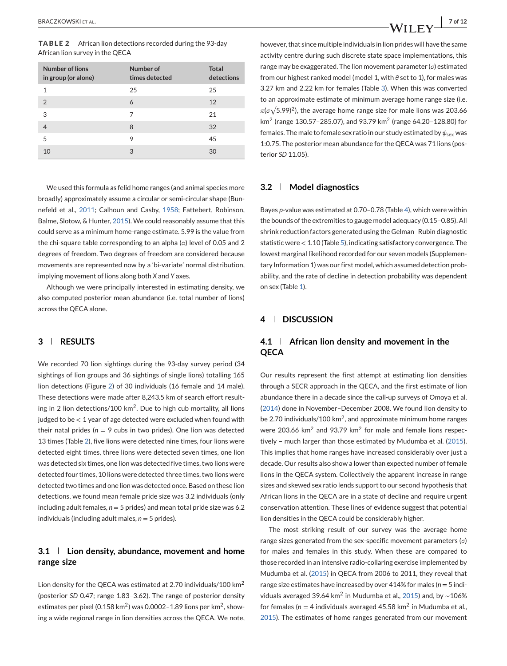| <b>Number of lions</b><br>in group (or alone) | Number of<br>times detected | <b>Total</b><br>detections |
|-----------------------------------------------|-----------------------------|----------------------------|
| 1                                             | 25                          | 25                         |
| $\overline{2}$                                | 6                           | 12                         |
| 3                                             | 7                           | 21                         |
| 4                                             | 8                           | 32                         |
| 5                                             | 9                           | 45                         |
| 10                                            | 3                           | 30                         |

We used this formula as felid home ranges (and animal species more broadly) approximately assume a circular or semi-circular shape (Bunnefeld et al., 2011; Calhoun and Casby, 1958; Fattebert, Robinson, Balme, Slotow, & Hunter, 2015). We could reasonably assume that this could serve as a minimum home-range estimate. 5.99 is the value from the chi-square table corresponding to an alpha (*α*) level of 0.05 and 2 degrees of freedom. Two degrees of freedom are considered because movements are represented now by a 'bi-variate' normal distribution, implying movement of lions along both *X* and *Y* axes.

Although we were principally interested in estimating density, we also computed posterior mean abundance (i.e. total number of lions) across the QECA alone.

# **3 RESULTS**

We recorded 70 lion sightings during the 93-day survey period (34 sightings of lion groups and 36 sightings of single lions) totalling 165 lion detections (Figure [2\)](#page-3-0) of 30 individuals (16 female and 14 male). These detections were made after 8,243.5 km of search effort resulting in 2 lion detections/100 km<sup>2</sup>. Due to high cub mortality, all lions judged to be < 1 year of age detected were excluded when found with their natal prides ( $n = 9$  cubs in two prides). One lion was detected 13 times (Table 2), five lions were detected nine times, four lions were detected eight times, three lions were detected seven times, one lion was detected six times, one lion was detected five times, two lions were detected four times, 10 lions were detected three times, two lions were detected two times and one lion was detected once. Based on these lion detections, we found mean female pride size was 3.2 individuals (only including adult females, *n* = 5 prides) and mean total pride size was 6.2 individuals (including adult males,  $n = 5$  prides).

# **3.1 Lion density, abundance, movement and home range size**

Lion density for the QECA was estimated at 2.70 individuals/100 km<sup>2</sup> (posterior *SD* 0.47; range 1.83–3.62). The range of posterior density estimates per pixel (0.158 km<sup>2</sup>) was 0.0002-1.89 lions per km<sup>2</sup>, showing a wide regional range in lion densities across the QECA. We note, however, that since multiple individuals in lion prides will have the same activity centre during such discrete state space implementations, this range may be exaggerated. The lion movement parameter (*σ*) estimated from our highest ranked model (model 1, with *θ* set to 1), for males was 3.27 km and 2.22 km for females (Table [3\)](#page-7-0). When this was converted to an approximate estimate of minimum average home range size (i.e.  $\pi(\sigma\sqrt{5.99})^2$ ), the average home range size for male lions was 203.66

km<sup>2</sup> (range 130.57–285.07), and 93.79 km<sup>2</sup> (range 64.20–128.80) for females. The male to female sex ratio in our study estimated by  $ψ_{sex}$  was 1:0.75. The posterior mean abundance for the QECA was 71 lions (posterior *SD* 11.05).

# **3.2 Model diagnostics**

Bayes *p*-value was estimated at 0.70–0.78 (Table [4\)](#page-7-0), which were within the bounds of the extremities to gauge model adequacy (0.15–0.85). All shrink reduction factors generated using the Gelman–Rubin diagnostic statistic were < 1.10 (Table [5\)](#page-8-0), indicating satisfactory convergence. The lowest marginal likelihood recorded for our seven models (Supplementary Information 1) was our first model, which assumed detection probability, and the rate of decline in detection probability was dependent on sex (Table [1\)](#page-5-0).

# **4 DISCUSSION**

# **4.1 African lion density and movement in the QECA**

Our results represent the first attempt at estimating lion densities through a SECR approach in the QECA, and the first estimate of lion abundance there in a decade since the call-up surveys of Omoya et al. (2014) done in November–December 2008. We found lion density to be 2.70 individuals/100  $km^2$ , and approximate minimum home ranges were 203.66 km<sup>2</sup> and 93.79 km<sup>2</sup> for male and female lions respectively – much larger than those estimated by Mudumba et al. (2015). This implies that home ranges have increased considerably over just a decade. Our results also show a lower than expected number of female lions in the QECA system. Collectively the apparent increase in range sizes and skewed sex ratio lends support to our second hypothesis that African lions in the QECA are in a state of decline and require urgent conservation attention. These lines of evidence suggest that potential lion densities in the QECA could be considerably higher.

The most striking result of our survey was the average home range sizes generated from the sex-specific movement parameters (*σ*) for males and females in this study. When these are compared to those recorded in an intensive radio-collaring exercise implemented by Mudumba et al. (2015) in QECA from 2006 to 2011, they reveal that range size estimates have increased by over 414% for males (*n* = 5 individuals averaged 39.64 km<sup>2</sup> in Mudumba et al., 2015) and, by ∼106% for females ( $n = 4$  individuals averaged 45.58 km<sup>2</sup> in Mudumba et al., 2015). The estimates of home ranges generated from our movement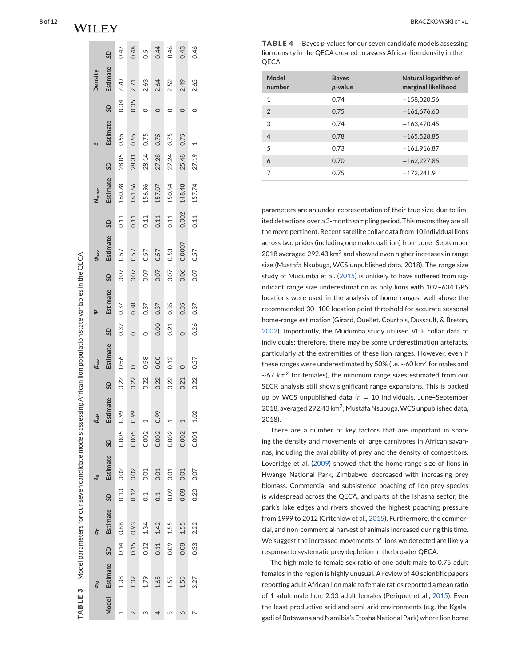<span id="page-7-0"></span>

|                          | $\overline{\sigma}$ |      | ь           |                  | $\mathcal{A}_{\Omega}$ |                | $\frac{\beta_{\rm eff}}{2}$ |      | $\beta$ sex |         |          |      | $\psi_\text{sex}$ |           | N <sub>super</sub> |           |          |         | Density  |      |
|--------------------------|---------------------|------|-------------|------------------|------------------------|----------------|-----------------------------|------|-------------|---------|----------|------|-------------------|-----------|--------------------|-----------|----------|---------|----------|------|
| <b>Model</b>             | Estimate            | SD   | Estimate SD |                  | Estimate               | SD             | Estimate                    | SD   | Estimate    | SD      | Estimate | SD   | Estimate          | <b>GS</b> | Estimate           | <b>GS</b> | Estimate | SD      | Estimate | GS   |
|                          | 1.08                | 0.14 | 0.88        | 0.10             | 0.02                   | 0.005          | 0.99                        | 0.22 | 0.56        | 0.32    | 0.37     | 0.07 | 0.57              | 0.11      | 160.98             | 28.05     | 0.55     | 0.04    | 2.70     | 0.47 |
| $\mathbf 2$              | 1.02                | 0.15 | 0.93        | 0.12             | 0.02                   | 0.005          | 0.99                        | 0.22 |             | $\circ$ | 0.38     | 0.07 | 0.57              | 0.11      | 161.66             | 28.31     | 0.55     | 0.05    | 2.71     | 0.48 |
| ω                        | 1.79                | 0.12 | 1.34        | $\overline{0}$ : | 0.01                   | 0.002          |                             | 0.22 | 0.58        | $\circ$ | 0.37     | 0.07 | 0.57              | 0.11      | 156.96             | 28.14     | 0.75     | $\circ$ | 2.63     | 0.5  |
| 4                        | 1.65                | 0.11 | 1.42        | $\overline{0}$ : | 0.01                   | 0.002          | 0.99                        | 0.22 | 0.00        | 0.00    | 0.37     | 0.07 | 0.57              | 0.11      | 157.07             | 27.28     | 0.75     |         | 2.64     | 0.44 |
| 5                        | 1.55                | 0.09 | 1.55        | 0.09             | 0.01                   | 0.002          |                             | 0.22 | 0.12        | 0.21    | 0.35     | 0.07 | 0.53              | 0.11      | 150.64             | 27.24     | 0.75     |         | 2.52     | 0.46 |
| ∘                        | 1.55                | 0.08 | 1.55        | 0.08             | 0.01                   | 0.002          |                             | 0.21 |             |         | 0.35     | 0.06 | 0.0007            | 0.002     | 148.48             | 25.48     | 0.75     |         | 2.49     | 0.43 |
| $\overline{\phantom{0}}$ | 3.27                | 0.33 | 2.22        | 0.20             | 0.07                   | $0.001$ $1.02$ |                             | 0.22 | 0.57        | 0.26    | 0.37     | 0.07 | 0.57              | 0.11      | 157.74             | 27.19     |          |         | 2.65     | 0.46 |
|                          |                     |      |             |                  |                        |                |                             |      |             |         |          |      |                   |           |                    |           |          |         |          |      |

**TABLE 4 Bayes p-values for our seven candidate models assessing** lion density in the QECA created to assess African lion density in the QECA

| Model<br>number | <b>Bayes</b><br>p-value | Natural logarithm of<br>marginal likelihood |
|-----------------|-------------------------|---------------------------------------------|
| 1               | 0.74                    | $-158,020.56$                               |
| $\overline{2}$  | 0.75                    | $-161,676.60$                               |
| 3               | 0.74                    | $-163.470.45$                               |
| $\overline{4}$  | 0.78                    | $-165,528.85$                               |
| 5               | 0.73                    | $-161,916.87$                               |
| 6               | 0.70                    | $-162,227.85$                               |
|                 | 0.75                    | $-172.241.9$                                |

parameters are an under-representation of their true size, due to limited detections over a 3-month sampling period. This means they are all the more pertinent. Recent satellite collar data from 10 individual lions across two prides (including one male coalition) from June–September 2018 averaged 292.43 km<sup>2</sup> and showed even higher increases in range size (Mustafa Nsubuga, WCS unpublished data, 2018). The range size study of Mudumba et al. (2015) is unlikely to have suffered from significant range size underestimation as only lions with 102–634 GPS locations were used in the analysis of home ranges, well above the recommended 30–100 location point threshold for accurate seasonal home-range estimation (Girard, Ouellet, Courtois, Dussault, & Breton, 2002). Importantly, the Mudumba study utilised VHF collar data of individuals; therefore, there may be some underestimation artefacts, particularly at the extremities of these lion ranges. However, even if these ranges were underestimated by 50% (i.e. ∼60 km <sup>2</sup> for males and  $\sim$ 67 km<sup>2</sup> for females), the minimum range sizes estimated from our SECR analysis still show significant range expansions. This is backed up by WCS unpublished data ( *n* = 10 individuals, June–September 2018, averaged 292.43 km<sup>2</sup>; Mustafa Nsubuga, WCS unpublished data, 2018).

There are a number of key factors that are important in shaping the density and movements of large carnivores in African savannas, including the availability of prey and the density of competitors. Loveridge et al. (2009) showed that the home-range size of lions in Hwange National Park, Zimbabwe, decreased with increasing prey biomass. Commercial and subsistence poaching of lion prey species is widespread across the QECA, and parts of the Ishasha sector, the park's lake edges and rivers showed the highest poaching pressure from 1999 to 2012 (Critchlow et al., 2015). Furthermore, the commercial, and non-commercial harvest of animals increased during this time. We suggest the increased movements of lions we detected are likely a response to systematic prey depletion in the broader QECA.

The high male to female sex ratio of one adult male to 0.75 adult females in the region is highly unusual. A review of 40 scientific papers reporting adult African lion male to female ratios reported a mean ratio of 1 adult male lion: 2.33 adult females (Périquet et al., 2015). Even the least-productive arid and semi-arid environments (e.g. the Kgalagadi of Botswana and Namibia's Etosha National Park) where lion home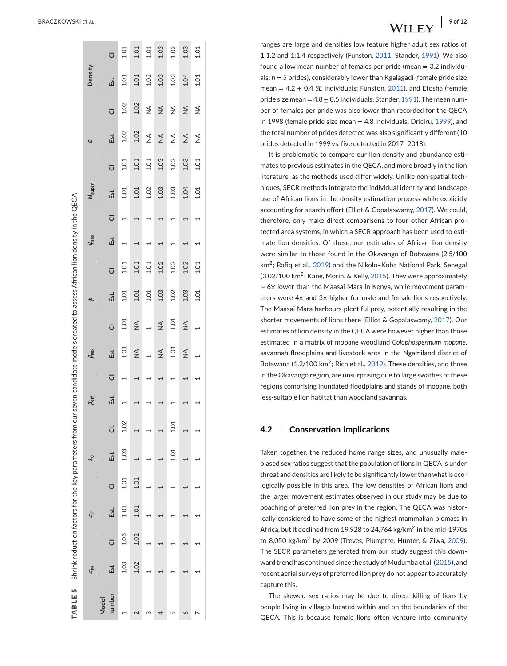<span id="page-8-0"></span>

| TABLE 5 Shrink reduction factors for the key parameters from |            |                         |        |      |                            |      |             |                         | our seven candidate models created to assess African lion density in the QECA |                         |      |                |                   |                         |             |                |               |                |         |                         |
|--------------------------------------------------------------|------------|-------------------------|--------|------|----------------------------|------|-------------|-------------------------|-------------------------------------------------------------------------------|-------------------------|------|----------------|-------------------|-------------------------|-------------|----------------|---------------|----------------|---------|-------------------------|
|                                                              | $\epsilon$ |                         | p<br>P |      | $\mathcal{X}_{\mathbf{0}}$ | I    | $\beta$ eff |                         | $\beta$ sex                                                                   |                         | Ф    |                | $\psi_\text{sex}$ |                         | $N_{super}$ |                | Ø             |                | Density |                         |
| number<br>Model                                              | Est        | $\overline{\mathbf{C}}$ | Est.   | ō    | Est                        | ರ    | Est         | $\overline{\mathbf{C}}$ | Est                                                                           | $\overline{\mathbf{C}}$ | Est. | $\overline{O}$ | Est               | $\overline{\mathbf{C}}$ | Est         | $\overline{O}$ | Est           | $\overline{O}$ | Est     | $\overline{\mathbf{C}}$ |
|                                                              | 1.03       | 1.03                    | 1.01   | 1.01 | 1.03                       | 1.02 |             |                         | 1.01                                                                          | 1.01                    | 1.01 | 1.01           |                   |                         | 1.01        | 1.01           | 1.02          | 1.02           | 1.01    | 1.01                    |
|                                                              | 1.02       | 1.02                    | 1.01   | 1.01 |                            |      |             |                         | $\frac{4}{2}$                                                                 | $\frac{4}{2}$           | 1.01 | 1.01           |                   |                         | 1.01        | 1.01           | 1.02          | 1.02           | 1.01    | 1.01                    |
|                                                              |            |                         |        |      |                            |      |             |                         |                                                                               |                         | 1.01 | 1.01           |                   |                         | 1.02        | 1.01           | ≸             | $\frac{1}{2}$  | 1.02    | 1.01                    |
|                                                              |            |                         |        |      |                            |      |             |                         | $\frac{1}{2}$                                                                 | $\frac{1}{2}$           | 1.03 | 1.02           |                   |                         | 1.03        | 1.03           | $\frac{4}{2}$ | $\frac{4}{2}$  | 1.03    | 1.03                    |
|                                                              |            |                         |        |      | 1.01                       | 1.01 |             |                         | 1.01                                                                          | 1.01                    | 1.02 | 1.02           |                   |                         | 1.03        | 1.02           | ≸             | ≸              | 1.03    | 1.02                    |
| ٥                                                            |            |                         |        |      |                            |      |             |                         | $\frac{4}{2}$                                                                 | $\frac{1}{2}$           | 1.03 | 1.02           |                   |                         | 1.04        | 1.03           | $\frac{4}{2}$ | $\frac{4}{2}$  | 1.04    | 1.03                    |
|                                                              |            |                         |        |      |                            |      |             |                         |                                                                               |                         | 1.01 | 1.01           |                   |                         | 1.01        | 1.01           | ≸             | ≸              | 1.01    | 1.01                    |
|                                                              |            |                         |        |      |                            |      |             |                         |                                                                               |                         |      |                |                   |                         |             |                |               |                |         |                         |

. **9 of 12** of 12 of 12 of 12 of 12 of 12 of 12 of 12 of 12 of 12 of 12 of 12 of 12 of 12 of 12 of 12 of 12 of 12 of 12 of 12 of 12 of 12 of 12 of 12 of 12 of 12 of 12 of 12 of 12 of 12 of 12 of 12 of 12 of 12 of 12 of 12

ranges are large and densities low feature higher adult sex ratios of 1:1.2 and 1:1.4 respectively (Funston, 2011; Stander, 1991). We also found a low mean number of females per pride (mean = 3.2 individuals; *n* = 5 prides), considerably lower than Kgalagadi (female pride size mean = 4.2 ± 0.4 *SE* individuals; Funston, 2011), and Etosha (female pride size mean  $= 4.8 \pm 0.5$  individuals; Stander, 1991). The mean number of females per pride was also lower than recorded for the QECA in 1998 (female pride size mean = 4.8 individuals; Driciru, 1999), and the total number of prides detected was also significantly different (10 prides detected in 1999 vs. five detected in 2017–2018).

It is problematic to compare our lion density and abundance estimates to previous estimates in the QECA, and more broadly in the lion literature, as the methods used differ widely. Unlike non-spatial techniques, SECR methods integrate the individual identity and landscape use of African lions in the density estimation process while explicitly accounting for search effort (Elliot & Gopalaswamy, 2017). We could, therefore, only make direct comparisons to four other African protected area systems, in which a SECR approach has been used to estimate lion densities. Of these, our estimates of African lion density were similar to those found in the Okavango of Botswana (2.5/100 km 2; Rafiq et al., 2019) and the Nikolo–Koba National Park, Senegal  $(3.02/100 \text{ km}^2)$ ; Kane, Morin, & Kelly, 2015). They were approximately ∼ 6 × lower than the Maasai Mara in Kenya, while movement parameters were 4× and 3× higher for male and female lions respectively. The Maasai Mara harbours plentiful prey, potentially resulting in the shorter movements of lions there (Elliot & Gopalaswamy, 2017). Our estimates of lion density in the QECA were however higher than those estimated in a matrix of mopane woodland *Colophospermum mopane* , savannah floodplains and livestock area in the Ngamiland district of Botswana (1.2/100 km<sup>2</sup>; Rich et al., 2019). These densities, and those in the Okavango region, are unsurprising due to large swathes of these regions comprising inundated floodplains and stands of mopane, both less-suitable lion habitat than woodland savannas.

#### **4.2 Conservation implications**

Taken together, the reduced home range sizes, and unusually malebiased sex ratios suggest that the population of lions in QECA is under threat and densities are likely to be significantly lower than what is ecologically possible in this area. The low densities of African lions and the larger movement estimates observed in our study may be due to poaching of preferred lion prey in the region. The QECA was historically considered to have some of the highest mammalian biomass in Africa, but it declined from 19,928 to 24,764 kg/km<sup>2</sup> in the mid-1970s to 8,050 kg/km<sup>2</sup> by 2009 (Treves, Plumptre, Hunter, & Ziwa, 2009). The SECR parameters generated from our study suggest this downward trend has continued since the study of Mudumba et al. (2015), and recent aerial surveys of preferred lion prey do not appear to accurately capture this.

The skewed sex ratios may be due to direct killing of lions by people living in villages located within and on the boundaries of the QECA. This is because female lions often venture into community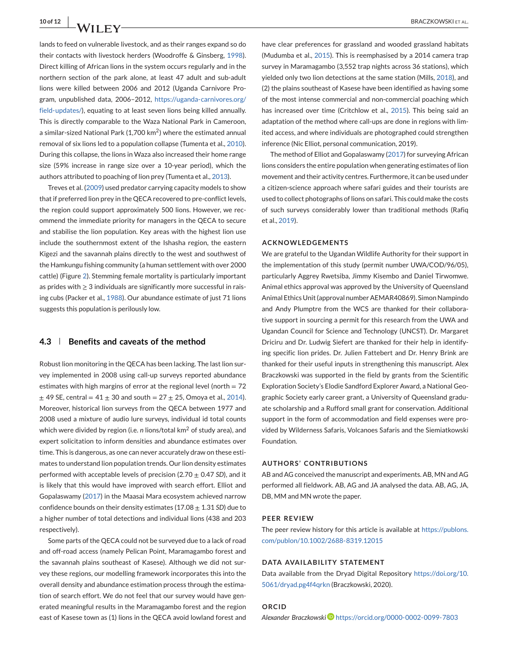lands to feed on vulnerable livestock, and as their ranges expand so do their contacts with livestock herders (Woodroffe & Ginsberg, 1998). Direct killing of African lions in the system occurs regularly and in the northern section of the park alone, at least 47 adult and sub-adult lions were killed between 2006 and 2012 (Uganda Carnivore Program, unpublished data, 2006–2012, [https://uganda-carnivores.org/](https://uganda-carnivores.org/field-updates/) [field-updates/\)](https://uganda-carnivores.org/field-updates/), equating to at least seven lions being killed annually. This is directly comparable to the Waza National Park in Cameroon, a similar-sized National Park (1,700 km2) where the estimated annual removal of six lions led to a population collapse (Tumenta et al., 2010). During this collapse, the lions in Waza also increased their home range size (59% increase in range size over a 10-year period), which the authors attributed to poaching of lion prey (Tumenta et al., 2013).

Treves et al. (2009) used predator carrying capacity models to show that if preferred lion prey in the QECA recovered to pre-conflict levels, the region could support approximately 500 lions. However, we recommend the immediate priority for managers in the QECA to secure and stabilise the lion population. Key areas with the highest lion use include the southernmost extent of the Ishasha region, the eastern Kigezi and the savannah plains directly to the west and southwest of the Hamkungu fishing community (a human settlement with over 2000 cattle) (Figure [2\)](#page-3-0). Stemming female mortality is particularly important as prides with  $\geq 3$  individuals are significantly more successful in raising cubs (Packer et al., 1988). Our abundance estimate of just 71 lions suggests this population is perilously low.

# **4.3 Benefits and caveats of the method**

Robust lion monitoring in the QECA has been lacking. The last lion survey implemented in 2008 using call-up surveys reported abundance estimates with high margins of error at the regional level (north  $= 72$ )  $\pm$  49 SE, central = 41  $\pm$  30 and south = 27  $\pm$  25, Omoya et al., 2014). Moreover, historical lion surveys from the QECA between 1977 and 2008 used a mixture of audio lure surveys, individual id total counts which were divided by region (i.e. *n* lions/total km<sup>2</sup> of study area), and expert solicitation to inform densities and abundance estimates over time. This is dangerous, as one can never accurately draw on these estimates to understand lion population trends. Our lion density estimates performed with acceptable levels of precision (2.70 ± 0.47 *SD*), and it is likely that this would have improved with search effort. Elliot and Gopalaswamy (2017) in the Maasai Mara ecosystem achieved narrow confidence bounds on their density estimates (17.08 ± 1.31 *SD*) due to a higher number of total detections and individual lions (438 and 203 respectively).

Some parts of the QECA could not be surveyed due to a lack of road and off-road access (namely Pelican Point, Maramagambo forest and the savannah plains southeast of Kasese). Although we did not survey these regions, our modelling framework incorporates this into the overall density and abundance estimation process through the estimation of search effort. We do not feel that our survey would have generated meaningful results in the Maramagambo forest and the region east of Kasese town as (1) lions in the QECA avoid lowland forest and

have clear preferences for grassland and wooded grassland habitats (Mudumba et al., 2015). This is reemphasised by a 2014 camera trap survey in Maramagambo (3,552 trap nights across 36 stations), which yielded only two lion detections at the same station (Mills, 2018), and (2) the plains southeast of Kasese have been identified as having some of the most intense commercial and non-commercial poaching which has increased over time (Critchlow et al., 2015). This being said an adaptation of the method where call-ups are done in regions with limited access, and where individuals are photographed could strengthen inference (Nic Elliot, personal communication, 2019).

The method of Elliot and Gopalaswamy (2017) for surveying African lions considers the entire population when generating estimates of lion movement and their activity centres. Furthermore, it can be used under a citizen-science approach where safari guides and their tourists are used to collect photographs of lions on safari. This could make the costs of such surveys considerably lower than traditional methods (Rafiq et al., 2019).

#### **ACKNOWLEDGEMENTS**

We are grateful to the Ugandan Wildlife Authority for their support in the implementation of this study (permit number UWA/COD/96/05), particularly Aggrey Rwetsiba, Jimmy Kisembo and Daniel Tirwomwe. Animal ethics approval was approved by the University of Queensland Animal Ethics Unit (approval number AEMAR40869). Simon Nampindo and Andy Plumptre from the WCS are thanked for their collaborative support in sourcing a permit for this research from the UWA and Ugandan Council for Science and Technology (UNCST). Dr. Margaret Driciru and Dr. Ludwig Siefert are thanked for their help in identifying specific lion prides. Dr. Julien Fattebert and Dr. Henry Brink are thanked for their useful inputs in strengthening this manuscript. Alex Braczkowski was supported in the field by grants from the Scientific Exploration Society's Elodie Sandford Explorer Award, a National Geographic Society early career grant, a University of Queensland graduate scholarship and a Rufford small grant for conservation. Additional support in the form of accommodation and field expenses were provided by Wilderness Safaris, Volcanoes Safaris and the Siemiatkowski Foundation.

#### **AUTHORS' CONTRIBUTIONS**

AB and AG conceived the manuscript and experiments. AB, MN and AG performed all fieldwork. AB, AG and JA analysed the data. AB, AG, JA, DB, MM and MN wrote the paper.

#### **PEER REVIEW**

The peer review history for this article is available at [https://publons.](https://publons.com/publon/10.1002/2688-8319.12015) [com/publon/10.1002/2688-8319.12015](https://publons.com/publon/10.1002/2688-8319.12015)

#### **DATA AVAILABILITY STATEMENT**

Data available from the Dryad Digital Repository [https://doi.org/10.](https://doi.org/10.5061/dryad.pg4f4qrkn) [5061/dryad.pg4f4qrkn](https://doi.org/10.5061/dryad.pg4f4qrkn) (Braczkowski, 2020).

#### **ORCID**

*Alexander Braczkowsk[i](https://orcid.org/0000-0002-0099-7803)* <https://orcid.org/0000-0002-0099-7803>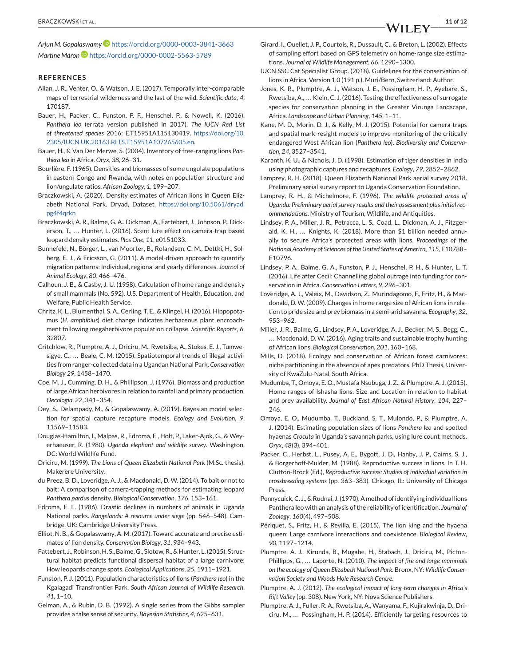*Arjun M. Gopalaswamy* <https://orcid.org/0000-0003-3841-3663> *Martine Maron* <https://orcid.org/0000-0002-5563-5789>

#### **REFERENCES**

- Allan, J. R., Venter, O., & Watson, J. E. (2017). Temporally inter-comparable maps of terrestrial wilderness and the last of the wild. *Scientific data*, *4*, 170187.
- Bauer, H., Packer, C., Funston, P. F., Henschel, P., & Nowell, K. (2016). *Panthera leo* (errata version published in 2017). *The IUCN Red List of threatened species* 2016: E.T15951A115130419. [https://doi.org/10.](https://doi.org/10.2305/IUCN.UK.20163.RLTS.T15951A107265605.en) [2305/IUCN.UK.20163.RLTS.T15951A107265605.en.](https://doi.org/10.2305/IUCN.UK.20163.RLTS.T15951A107265605.en)
- Bauer, H., & Van Der Merwe, S. (2004). Inventory of free-ranging lions *Panthera leo* in Africa. *Oryx*, *38*, 26–31.
- Bourlière, F. (1965). Densities and biomasses of some ungulate populations in eastern Congo and Rwanda, with notes on population structure and lion/ungulate ratios. *African Zoology*, *1*, 199–207.
- Braczkowski, A. (2020). Density estimates of African lions in Queen Elizabeth National Park. Dryad, Dataset. [https://doi.org/10.5061/dryad.](https://doi.org/10.5061/dryad.pg4f4qrkn) [pg4f4qrkn](https://doi.org/10.5061/dryad.pg4f4qrkn)
- Braczkowski, A. R., Balme, G. A., Dickman, A., Fattebert, J., Johnson, P., Dickerson, T., ... Hunter, L. (2016). Scent lure effect on camera-trap based leopard density estimates. *Plos One*, *11*, e0151033.
- Bunnefeld, N., Börger, L., van Moorter, B., Rolandsen, C. M., Dettki, H., Solberg, E. J., & Ericsson, G. (2011). A model-driven approach to quantify migration patterns: Individual, regional and yearly differences. *Journal of Animal Ecology*, *80*, 466–476.
- Calhoun, J. B., & Casby, J. U. (1958). Calculation of home range and density of small mammals (No. 592). U.S. Department of Health, Education, and Welfare, Public Health Service.
- Chritz, K. L., Blumenthal, S. A., Cerling, T. E., & Klingel, H. (2016). Hippopotamus (*H. amphibius*) diet change indicates herbaceous plant encroachment following megaherbivore population collapse. *Scientific Reports*, *6*, 32807.
- Critchlow, R., Plumptre, A. J., Driciru, M., Rwetsiba, A., Stokes, E. J., Tumwesigye, C., ... Beale, C. M. (2015). Spatiotemporal trends of illegal activities from ranger-collected data in a Ugandan National Park. *Conservation Biology 29*, 1458–1470.
- Coe, M. J., Cumming, D. H., & Phillipson, J. (1976). Biomass and production of large African herbivores in relation to rainfall and primary production. *Oecologia*, *22*, 341–354.
- Dey, S., Delampady, M., & Gopalaswamy, A. (2019). Bayesian model selection for spatial capture recapture models. *Ecology and Evolution*, *9*, 11569–11583.
- Douglas-Hamilton, I., Malpas, R., Edroma, E., Holt, P., Laker-Ajok, G., & Weyerhaeuser, R. (1980). *Uganda elephant and wildlife survey*. Washington, DC: World Wildlife Fund.
- Driciru, M. (1999). *The Lions of Queen Elizabeth National Park* (M.Sc. thesis). Makerere University.
- du Preez, B. D., Loveridge, A. J., & Macdonald, D. W. (2014). To bait or not to bait: A comparison of camera-trapping methods for estimating leopard *Panthera pardus* density. *Biological Conservation*, *176*, 153–161.
- Edroma, E. L. (1986). Drastic declines in numbers of animals in Uganda National parks. *Rangelands: A resource under siege* (pp. 546–548). Cambridge, UK: Cambridge University Press.
- Elliot, N. B., & Gopalaswamy, A. M. (2017). Toward accurate and precise estimates of lion density. *Conservation Biology*, *31*, 934–943.
- Fattebert, J., Robinson, H. S., Balme, G., Slotow, R., & Hunter, L. (2015). Structural habitat predicts functional dispersal habitat of a large carnivore: How leopards change spots. *Ecological Applications*, *25*, 1911–1921.
- Funston, P. J. (2011). Population characteristics of lions (*Panthera leo*) in the Kgalagadi Transfrontier Park. *South African Journal of Wildlife Research*, *41*, 1–10.
- Gelman, A., & Rubin, D. B. (1992). A single series from the Gibbs sampler provides a false sense of security. *Bayesian Statistics*, *4*, 625–631.
- Girard, I., Ouellet, J. P., Courtois, R., Dussault, C., & Breton, L. (2002). Effects of sampling effort based on GPS telemetry on home-range size estimations. *Journal of Wildlife Management*, *66*, 1290–1300.
- IUCN SSC Cat Specialist Group. (2018). Guidelines for the conservation of lions in Africa, Version 1.0 (191 p.). Muri/Bern, Switzerland: Author.
- Jones, K. R., Plumptre, A. J., Watson, J. E., Possingham, H. P., Ayebare, S., Rwetsiba, A., ... Klein, C. J. (2016). Testing the effectiveness of surrogate species for conservation planning in the Greater Virunga Landscape, Africa. *Landscape and Urban Planning*, *145*, 1–11.
- Kane, M. D., Morin, D. J., & Kelly, M. J. (2015). Potential for camera-traps and spatial mark-resight models to improve monitoring of the critically endangered West African lion (*Panthera leo*). *Biodiversity and Conservation*, *24*, 3527–3541.
- Karanth, K. U., & Nichols, J. D. (1998). Estimation of tiger densities in India using photographic captures and recaptures. *Ecology*, *79*, 2852–2862.
- Lamprey, R. H. (2018). Queen Elizabeth National Park aerial survey 2018. Preliminary aerial survey report to Uganda Conservation Foundation.
- Lamprey, R. H., & Michelmore, F. (1996). *The wildlife protected areas of Uganda: Preliminary aerial survey results and their assessment plus initial recommendations*. Ministry of Tourism, Wildlife, and Antiquities.
- Lindsey, P. A., Miller, J. R., Petracca, L. S., Coad, L., Dickman, A. J., Fitzgerald, K. H., ... Knights, K. (2018). More than \$1 billion needed annually to secure Africa's protected areas with lions. *Proceedings of the National Academy of Sciences of the United States of America*, *115*, E10788– E10796.
- Lindsey, P. A., Balme, G. A., Funston, P. J., Henschel, P. H., & Hunter, L. T. (2016). Life after Cecil: Channelling global outrage into funding for conservation in Africa. *Conservation Letters*, *9*, 296–301.
- Loveridge, A. J., Valeix, M., Davidson, Z., Murindagomo, F., Fritz, H., & Macdonald, D. W. (2009). Changes in home range size of African lions in relation to pride size and prey biomass in a semi-arid savanna. *Ecography*, *32*, 953–962.
- Miller, J. R., Balme, G., Lindsey, P. A., Loveridge, A. J., Becker, M. S., Begg, C., ... Macdonald, D. W. (2016). Aging traits and sustainable trophy hunting of African lions. *Biological Conservation*, *201*, 160–168.
- Mills, D. (2018). Ecology and conservation of African forest carnivores: niche partitioning in the absence of apex predators. PhD Thesis, University of KwaZulu-Natal, South Africa.
- Mudumba, T., Omoya, E. O., Mustafa Nsubuga, J. Z., & Plumptre, A. J. (2015). Home ranges of Ishasha lions: Size and Location in relation to habitat and prey availability. *Journal of East African Natural History*, *104*, 227– 246.
- Omoya, E. O., Mudumba, T., Buckland, S. T., Mulondo, P., & Plumptre, A. J. (2014). Estimating population sizes of lions *Panthera leo* and spotted hyaenas *Crocuta* in Uganda's savannah parks, using lure count methods. *Oryx*, *48*(3), 394–401.
- Packer, C., Herbst, L., Pusey, A. E., Bygott, J. D., Hanby, J. P., Cairns, S. J., & Borgerhoff-Mulder, M. (1988). Reproductive success in lions. In T. H. Clutton-Brock (Ed.), *Reproductive success: Studies of individual variation in crossbreeding systems* (pp. 363–383). Chicago, IL: University of Chicago Press.
- Pennycuick, C. J., & Rudnai, J. (1970). A method of identifying individual lions Panthera leo with an analysis of the reliability of identification. *Journal of Zoology*, *160*(4), 497–508.
- Périquet, S., Fritz, H., & Revilla, E. (2015). The lion king and the hyaena queen: Large carnivore interactions and coexistence. *Biological Review*, *90*, 1197–1214.
- Plumptre, A. J., Kirunda, B., Mugabe, H., Stabach, J., Driciru, M., Picton-Phillipps, G., ... Laporte, N. (2010). *The impact of fire and large mammals on the ecology of Queen Elizabeth National Park*. Bronx, NY: *Wildlife Conservation Society and Woods Hole Research Centre*.
- Plumptre, A. J. (2012). *The ecological impact of long-term changes in Africa's Rift Valley* (pp. 308). New York, NY: Nova Science Publishers.
- Plumptre, A. J., Fuller, R. A., Rwetsiba, A., Wanyama, F., Kujirakwinja, D., Driciru, M., ... Possingham, H. P. (2014). Efficiently targeting resources to